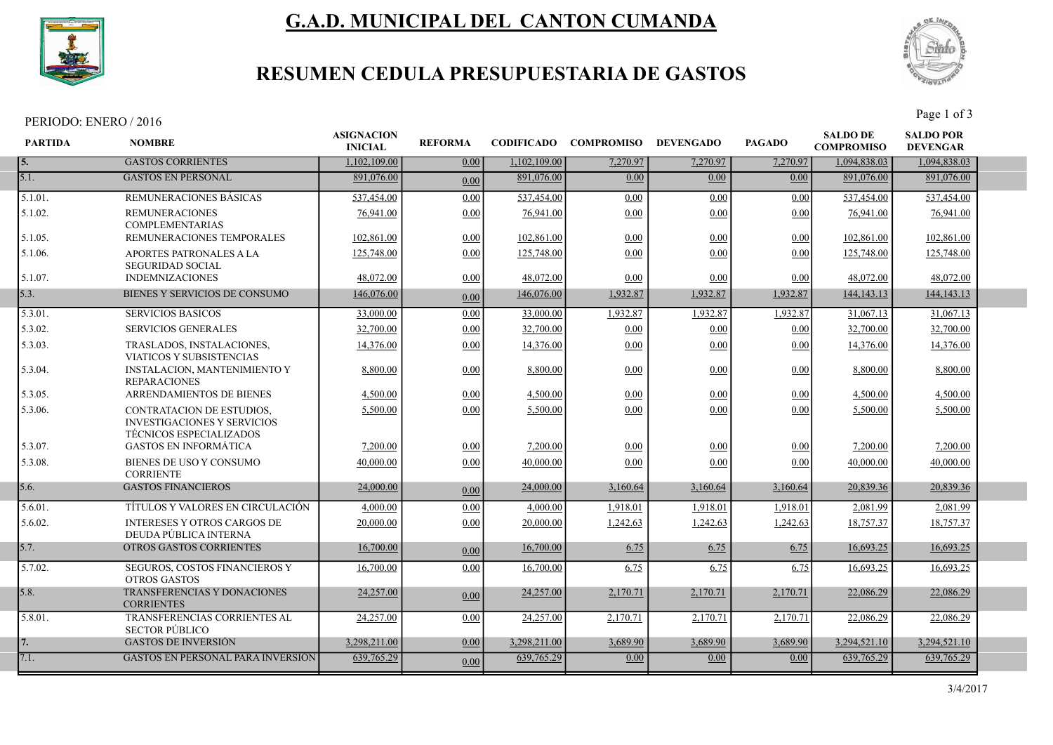

# G.A.D. MUNICIPAL DEL CANTON CUMANDA



## RESUMEN CEDULA PRESUPUESTARIA DE GASTOS

PERIODO: ENERO / 2016 Page 1 of 3

| <b>GASTOS CORRIENTES</b><br>1,102,109.00<br>0.00<br>1,102,109.00<br>7,270.97<br>7,270.97<br>7,270.97<br>1,094,838.03<br>1,094,838.03<br><b>5.</b><br>5.1.<br><b>GASTOS EN PERSONAL</b><br>891,076.00<br>891,076.00<br>891,076.00<br>0.00<br>0.00<br>0.00<br>891,076.00<br>0.00<br>5.1.01.<br>537,454.00<br><b>REMUNERACIONES BASICAS</b><br>537,454.00<br>0.00<br>0.00<br>0.00<br>0.00<br>537,454.00<br>537,454.00<br>5.1.02.<br><b>REMUNERACIONES</b><br>76,941.00<br>76,941.00<br>0.00<br>76,941.00<br>76,941.00<br>0.00<br>0.00<br>0.00<br><b>COMPLEMENTARIAS</b><br>5.1.05.<br>REMUNERACIONES TEMPORALES<br>102,861.00<br>0.00<br>0.00<br>102,861.00<br>102,861.00<br>102,861.00<br>0.00<br>0.00<br>5.1.06.<br>APORTES PATRONALES A LA<br>125,748.00<br>0.00<br>125,748.00<br>125,748.00<br>0.00<br>0.00<br>0.00<br>125,748.00<br><b>SEGURIDAD SOCIAL</b><br>5.1.07.<br><b>INDEMNIZACIONES</b><br>48,072.00<br>48,072.00<br>48,072.00<br>48,072.00<br>0.00<br>0.00<br>0.00<br>0.00<br>5.3.<br>BIENES Y SERVICIOS DE CONSUMO<br>1,932.87<br>1,932.87<br>1,932.87<br>146,076.00<br>146,076.00<br>144, 143. 13<br>144, 143. 13<br>0.00<br>5.3.01.<br><b>SERVICIOS BASICOS</b><br>0.00<br>33,000.00<br>1,932.87<br>1,932.87<br>1,932.87<br>31,067.13<br>33,000.00<br>31,067.13<br>5.3.02.<br><b>SERVICIOS GENERALES</b><br>32,700.00<br>0.00<br>32,700.00<br>0.00<br>32,700.00<br>32,700.00<br>0.00<br>0.00<br>5.3.03.<br>14,376.00<br>14,376.00<br>14,376.00<br>TRASLADOS, INSTALACIONES,<br>0.00<br>0.00<br>0.00<br>0.00<br>14,376.00<br><b>VIATICOS Y SUBSISTENCIAS</b><br><b>INSTALACION, MANTENIMIENTO Y</b><br>8,800.00<br>8,800.00<br>0.00<br>0.00<br>5.3.04.<br>0.00<br>0.00<br>8,800.00<br>8,800.00<br><b>REPARACIONES</b><br>5.3.05.<br><b>ARRENDAMIENTOS DE BIENES</b><br>4.500.00<br>0.00<br>4,500.00<br>0.00<br>0.00<br>0.00<br>4,500.00<br>4.500.00<br>5,500.00<br>0.00<br>5.3.06.<br>CONTRATACION DE ESTUDIOS,<br>5,500.00<br>0.00<br>0.00<br>0.00<br>5,500.00<br>5,500.00<br><b>INVESTIGACIONES Y SERVICIOS</b><br><b>TÉCNICOS ESPECIALIZADOS</b><br><b>GASTOS EN INFORMÁTICA</b><br>5.3.07.<br>7,200.00<br>0.00<br>7,200.00<br>0.00<br>0.00<br>0.00<br>7,200.00<br>7,200.00<br>5.3.08.<br>BIENES DE USO Y CONSUMO<br>40,000.00<br>0.00<br>40,000.00<br>0.00<br>0.00<br>0.00<br>40,000.00<br>40,000.00<br><b>CORRIENTE</b><br><b>GASTOS FINANCIEROS</b><br>24,000.00<br>24,000.00<br>3,160.64<br>3,160.64<br>20,839.36<br>20,839.36<br>5.6.<br>3,160.64<br>0.00<br>TÍTULOS Y VALORES EN CIRCULACIÓN<br>5.6.01.<br>4,000.00<br>0.00<br>4,000.00<br>1,918.01<br>1.918.01<br>1.918.01<br>2.081.99<br>2,081.99<br><b>INTERESES Y OTROS CARGOS DE</b><br>5.6.02.<br>20,000.00<br>0.00<br>20,000,00<br>1,242.63<br>1,242.63<br>18,757.37<br>18,757.37<br>1,242.63<br>DEUDA PÚBLICA INTERNA<br>OTROS GASTOS CORRIENTES<br>5.7.<br>16,700.00<br>6.75<br>16,693.25<br>16,700.00<br>6.75<br>6.75<br>16,693.25<br>0.00<br>5.7.02.<br>16,700.00<br>0.00<br>16,700.00<br>6.75<br>16,693.25<br>16,693.25<br>SEGUROS, COSTOS FINANCIEROS Y<br>6.75<br>6.75<br><b>OTROS GASTOS</b> | <b>PARTIDA</b> | <b>NOMBRE</b>               | <b>ASIGNACION</b><br><b>INICIAL</b> | <b>REFORMA</b> | <b>CODIFICADO</b> | <b>COMPROMISO</b> | <b>DEVENGADO</b> | <b>PAGADO</b> | <b>SALDO DE</b><br><b>COMPROMISO</b> | <b>SALDO POR</b><br><b>DEVENGAR</b> |  |
|------------------------------------------------------------------------------------------------------------------------------------------------------------------------------------------------------------------------------------------------------------------------------------------------------------------------------------------------------------------------------------------------------------------------------------------------------------------------------------------------------------------------------------------------------------------------------------------------------------------------------------------------------------------------------------------------------------------------------------------------------------------------------------------------------------------------------------------------------------------------------------------------------------------------------------------------------------------------------------------------------------------------------------------------------------------------------------------------------------------------------------------------------------------------------------------------------------------------------------------------------------------------------------------------------------------------------------------------------------------------------------------------------------------------------------------------------------------------------------------------------------------------------------------------------------------------------------------------------------------------------------------------------------------------------------------------------------------------------------------------------------------------------------------------------------------------------------------------------------------------------------------------------------------------------------------------------------------------------------------------------------------------------------------------------------------------------------------------------------------------------------------------------------------------------------------------------------------------------------------------------------------------------------------------------------------------------------------------------------------------------------------------------------------------------------------------------------------------------------------------------------------------------------------------------------------------------------------------------------------------------------------------------------------------------------------------------------------------------------------------------------------------------------------------------------------------------------------------------------------------------------------------------------------------------------------------------------------------------------------------------------------------------------------------------------------------------------|----------------|-----------------------------|-------------------------------------|----------------|-------------------|-------------------|------------------|---------------|--------------------------------------|-------------------------------------|--|
|                                                                                                                                                                                                                                                                                                                                                                                                                                                                                                                                                                                                                                                                                                                                                                                                                                                                                                                                                                                                                                                                                                                                                                                                                                                                                                                                                                                                                                                                                                                                                                                                                                                                                                                                                                                                                                                                                                                                                                                                                                                                                                                                                                                                                                                                                                                                                                                                                                                                                                                                                                                                                                                                                                                                                                                                                                                                                                                                                                                                                                                                                    |                |                             |                                     |                |                   |                   |                  |               |                                      |                                     |  |
|                                                                                                                                                                                                                                                                                                                                                                                                                                                                                                                                                                                                                                                                                                                                                                                                                                                                                                                                                                                                                                                                                                                                                                                                                                                                                                                                                                                                                                                                                                                                                                                                                                                                                                                                                                                                                                                                                                                                                                                                                                                                                                                                                                                                                                                                                                                                                                                                                                                                                                                                                                                                                                                                                                                                                                                                                                                                                                                                                                                                                                                                                    |                |                             |                                     |                |                   |                   |                  |               |                                      |                                     |  |
|                                                                                                                                                                                                                                                                                                                                                                                                                                                                                                                                                                                                                                                                                                                                                                                                                                                                                                                                                                                                                                                                                                                                                                                                                                                                                                                                                                                                                                                                                                                                                                                                                                                                                                                                                                                                                                                                                                                                                                                                                                                                                                                                                                                                                                                                                                                                                                                                                                                                                                                                                                                                                                                                                                                                                                                                                                                                                                                                                                                                                                                                                    |                |                             |                                     |                |                   |                   |                  |               |                                      |                                     |  |
|                                                                                                                                                                                                                                                                                                                                                                                                                                                                                                                                                                                                                                                                                                                                                                                                                                                                                                                                                                                                                                                                                                                                                                                                                                                                                                                                                                                                                                                                                                                                                                                                                                                                                                                                                                                                                                                                                                                                                                                                                                                                                                                                                                                                                                                                                                                                                                                                                                                                                                                                                                                                                                                                                                                                                                                                                                                                                                                                                                                                                                                                                    |                |                             |                                     |                |                   |                   |                  |               |                                      |                                     |  |
|                                                                                                                                                                                                                                                                                                                                                                                                                                                                                                                                                                                                                                                                                                                                                                                                                                                                                                                                                                                                                                                                                                                                                                                                                                                                                                                                                                                                                                                                                                                                                                                                                                                                                                                                                                                                                                                                                                                                                                                                                                                                                                                                                                                                                                                                                                                                                                                                                                                                                                                                                                                                                                                                                                                                                                                                                                                                                                                                                                                                                                                                                    |                |                             |                                     |                |                   |                   |                  |               |                                      |                                     |  |
|                                                                                                                                                                                                                                                                                                                                                                                                                                                                                                                                                                                                                                                                                                                                                                                                                                                                                                                                                                                                                                                                                                                                                                                                                                                                                                                                                                                                                                                                                                                                                                                                                                                                                                                                                                                                                                                                                                                                                                                                                                                                                                                                                                                                                                                                                                                                                                                                                                                                                                                                                                                                                                                                                                                                                                                                                                                                                                                                                                                                                                                                                    |                |                             |                                     |                |                   |                   |                  |               |                                      |                                     |  |
|                                                                                                                                                                                                                                                                                                                                                                                                                                                                                                                                                                                                                                                                                                                                                                                                                                                                                                                                                                                                                                                                                                                                                                                                                                                                                                                                                                                                                                                                                                                                                                                                                                                                                                                                                                                                                                                                                                                                                                                                                                                                                                                                                                                                                                                                                                                                                                                                                                                                                                                                                                                                                                                                                                                                                                                                                                                                                                                                                                                                                                                                                    |                |                             |                                     |                |                   |                   |                  |               |                                      |                                     |  |
|                                                                                                                                                                                                                                                                                                                                                                                                                                                                                                                                                                                                                                                                                                                                                                                                                                                                                                                                                                                                                                                                                                                                                                                                                                                                                                                                                                                                                                                                                                                                                                                                                                                                                                                                                                                                                                                                                                                                                                                                                                                                                                                                                                                                                                                                                                                                                                                                                                                                                                                                                                                                                                                                                                                                                                                                                                                                                                                                                                                                                                                                                    |                |                             |                                     |                |                   |                   |                  |               |                                      |                                     |  |
|                                                                                                                                                                                                                                                                                                                                                                                                                                                                                                                                                                                                                                                                                                                                                                                                                                                                                                                                                                                                                                                                                                                                                                                                                                                                                                                                                                                                                                                                                                                                                                                                                                                                                                                                                                                                                                                                                                                                                                                                                                                                                                                                                                                                                                                                                                                                                                                                                                                                                                                                                                                                                                                                                                                                                                                                                                                                                                                                                                                                                                                                                    |                |                             |                                     |                |                   |                   |                  |               |                                      |                                     |  |
|                                                                                                                                                                                                                                                                                                                                                                                                                                                                                                                                                                                                                                                                                                                                                                                                                                                                                                                                                                                                                                                                                                                                                                                                                                                                                                                                                                                                                                                                                                                                                                                                                                                                                                                                                                                                                                                                                                                                                                                                                                                                                                                                                                                                                                                                                                                                                                                                                                                                                                                                                                                                                                                                                                                                                                                                                                                                                                                                                                                                                                                                                    |                |                             |                                     |                |                   |                   |                  |               |                                      |                                     |  |
|                                                                                                                                                                                                                                                                                                                                                                                                                                                                                                                                                                                                                                                                                                                                                                                                                                                                                                                                                                                                                                                                                                                                                                                                                                                                                                                                                                                                                                                                                                                                                                                                                                                                                                                                                                                                                                                                                                                                                                                                                                                                                                                                                                                                                                                                                                                                                                                                                                                                                                                                                                                                                                                                                                                                                                                                                                                                                                                                                                                                                                                                                    |                |                             |                                     |                |                   |                   |                  |               |                                      |                                     |  |
|                                                                                                                                                                                                                                                                                                                                                                                                                                                                                                                                                                                                                                                                                                                                                                                                                                                                                                                                                                                                                                                                                                                                                                                                                                                                                                                                                                                                                                                                                                                                                                                                                                                                                                                                                                                                                                                                                                                                                                                                                                                                                                                                                                                                                                                                                                                                                                                                                                                                                                                                                                                                                                                                                                                                                                                                                                                                                                                                                                                                                                                                                    |                |                             |                                     |                |                   |                   |                  |               |                                      |                                     |  |
|                                                                                                                                                                                                                                                                                                                                                                                                                                                                                                                                                                                                                                                                                                                                                                                                                                                                                                                                                                                                                                                                                                                                                                                                                                                                                                                                                                                                                                                                                                                                                                                                                                                                                                                                                                                                                                                                                                                                                                                                                                                                                                                                                                                                                                                                                                                                                                                                                                                                                                                                                                                                                                                                                                                                                                                                                                                                                                                                                                                                                                                                                    |                |                             |                                     |                |                   |                   |                  |               |                                      |                                     |  |
|                                                                                                                                                                                                                                                                                                                                                                                                                                                                                                                                                                                                                                                                                                                                                                                                                                                                                                                                                                                                                                                                                                                                                                                                                                                                                                                                                                                                                                                                                                                                                                                                                                                                                                                                                                                                                                                                                                                                                                                                                                                                                                                                                                                                                                                                                                                                                                                                                                                                                                                                                                                                                                                                                                                                                                                                                                                                                                                                                                                                                                                                                    |                |                             |                                     |                |                   |                   |                  |               |                                      |                                     |  |
|                                                                                                                                                                                                                                                                                                                                                                                                                                                                                                                                                                                                                                                                                                                                                                                                                                                                                                                                                                                                                                                                                                                                                                                                                                                                                                                                                                                                                                                                                                                                                                                                                                                                                                                                                                                                                                                                                                                                                                                                                                                                                                                                                                                                                                                                                                                                                                                                                                                                                                                                                                                                                                                                                                                                                                                                                                                                                                                                                                                                                                                                                    |                |                             |                                     |                |                   |                   |                  |               |                                      |                                     |  |
|                                                                                                                                                                                                                                                                                                                                                                                                                                                                                                                                                                                                                                                                                                                                                                                                                                                                                                                                                                                                                                                                                                                                                                                                                                                                                                                                                                                                                                                                                                                                                                                                                                                                                                                                                                                                                                                                                                                                                                                                                                                                                                                                                                                                                                                                                                                                                                                                                                                                                                                                                                                                                                                                                                                                                                                                                                                                                                                                                                                                                                                                                    |                |                             |                                     |                |                   |                   |                  |               |                                      |                                     |  |
|                                                                                                                                                                                                                                                                                                                                                                                                                                                                                                                                                                                                                                                                                                                                                                                                                                                                                                                                                                                                                                                                                                                                                                                                                                                                                                                                                                                                                                                                                                                                                                                                                                                                                                                                                                                                                                                                                                                                                                                                                                                                                                                                                                                                                                                                                                                                                                                                                                                                                                                                                                                                                                                                                                                                                                                                                                                                                                                                                                                                                                                                                    |                |                             |                                     |                |                   |                   |                  |               |                                      |                                     |  |
|                                                                                                                                                                                                                                                                                                                                                                                                                                                                                                                                                                                                                                                                                                                                                                                                                                                                                                                                                                                                                                                                                                                                                                                                                                                                                                                                                                                                                                                                                                                                                                                                                                                                                                                                                                                                                                                                                                                                                                                                                                                                                                                                                                                                                                                                                                                                                                                                                                                                                                                                                                                                                                                                                                                                                                                                                                                                                                                                                                                                                                                                                    |                |                             |                                     |                |                   |                   |                  |               |                                      |                                     |  |
|                                                                                                                                                                                                                                                                                                                                                                                                                                                                                                                                                                                                                                                                                                                                                                                                                                                                                                                                                                                                                                                                                                                                                                                                                                                                                                                                                                                                                                                                                                                                                                                                                                                                                                                                                                                                                                                                                                                                                                                                                                                                                                                                                                                                                                                                                                                                                                                                                                                                                                                                                                                                                                                                                                                                                                                                                                                                                                                                                                                                                                                                                    |                |                             |                                     |                |                   |                   |                  |               |                                      |                                     |  |
|                                                                                                                                                                                                                                                                                                                                                                                                                                                                                                                                                                                                                                                                                                                                                                                                                                                                                                                                                                                                                                                                                                                                                                                                                                                                                                                                                                                                                                                                                                                                                                                                                                                                                                                                                                                                                                                                                                                                                                                                                                                                                                                                                                                                                                                                                                                                                                                                                                                                                                                                                                                                                                                                                                                                                                                                                                                                                                                                                                                                                                                                                    |                |                             |                                     |                |                   |                   |                  |               |                                      |                                     |  |
|                                                                                                                                                                                                                                                                                                                                                                                                                                                                                                                                                                                                                                                                                                                                                                                                                                                                                                                                                                                                                                                                                                                                                                                                                                                                                                                                                                                                                                                                                                                                                                                                                                                                                                                                                                                                                                                                                                                                                                                                                                                                                                                                                                                                                                                                                                                                                                                                                                                                                                                                                                                                                                                                                                                                                                                                                                                                                                                                                                                                                                                                                    |                |                             |                                     |                |                   |                   |                  |               |                                      |                                     |  |
| <b>CORRIENTES</b>                                                                                                                                                                                                                                                                                                                                                                                                                                                                                                                                                                                                                                                                                                                                                                                                                                                                                                                                                                                                                                                                                                                                                                                                                                                                                                                                                                                                                                                                                                                                                                                                                                                                                                                                                                                                                                                                                                                                                                                                                                                                                                                                                                                                                                                                                                                                                                                                                                                                                                                                                                                                                                                                                                                                                                                                                                                                                                                                                                                                                                                                  | 5.8.           | TRANSFERENCIAS Y DONACIONES | 24,257.00                           | 0.00           | 24,257.00         | 2,170.71          | 2,170.71         | 2,170.71      | 22,086.29                            | 22,086.29                           |  |
| TRANSFERENCIAS CORRIENTES AL<br>24,257.00<br>24.257.00<br>2,170.71<br>2,170.71<br>22,086.29<br>22,086.29<br>5.8.01.<br>0.00<br>2,170.71<br><b>SECTOR PÚBLICO</b>                                                                                                                                                                                                                                                                                                                                                                                                                                                                                                                                                                                                                                                                                                                                                                                                                                                                                                                                                                                                                                                                                                                                                                                                                                                                                                                                                                                                                                                                                                                                                                                                                                                                                                                                                                                                                                                                                                                                                                                                                                                                                                                                                                                                                                                                                                                                                                                                                                                                                                                                                                                                                                                                                                                                                                                                                                                                                                                   |                |                             |                                     |                |                   |                   |                  |               |                                      |                                     |  |
| <b>GASTOS DE INVERSIÓN</b><br>3,298,211.00<br>3,298,211.00<br>3,294,521.10<br>3,294,521.10<br>7.<br>0.00<br>3,689.90<br>3,689.90<br>3,689.90                                                                                                                                                                                                                                                                                                                                                                                                                                                                                                                                                                                                                                                                                                                                                                                                                                                                                                                                                                                                                                                                                                                                                                                                                                                                                                                                                                                                                                                                                                                                                                                                                                                                                                                                                                                                                                                                                                                                                                                                                                                                                                                                                                                                                                                                                                                                                                                                                                                                                                                                                                                                                                                                                                                                                                                                                                                                                                                                       |                |                             |                                     |                |                   |                   |                  |               |                                      |                                     |  |
| 7.1.<br><b>GASTOS EN PERSONAL PARA INVERSION</b><br>639, 765.29<br>639,765.29<br>639,765.29<br>0.00 <sub>1</sub><br>0.00<br>0.00<br>639, 765.29<br>0.00                                                                                                                                                                                                                                                                                                                                                                                                                                                                                                                                                                                                                                                                                                                                                                                                                                                                                                                                                                                                                                                                                                                                                                                                                                                                                                                                                                                                                                                                                                                                                                                                                                                                                                                                                                                                                                                                                                                                                                                                                                                                                                                                                                                                                                                                                                                                                                                                                                                                                                                                                                                                                                                                                                                                                                                                                                                                                                                            |                |                             |                                     |                |                   |                   |                  |               |                                      |                                     |  |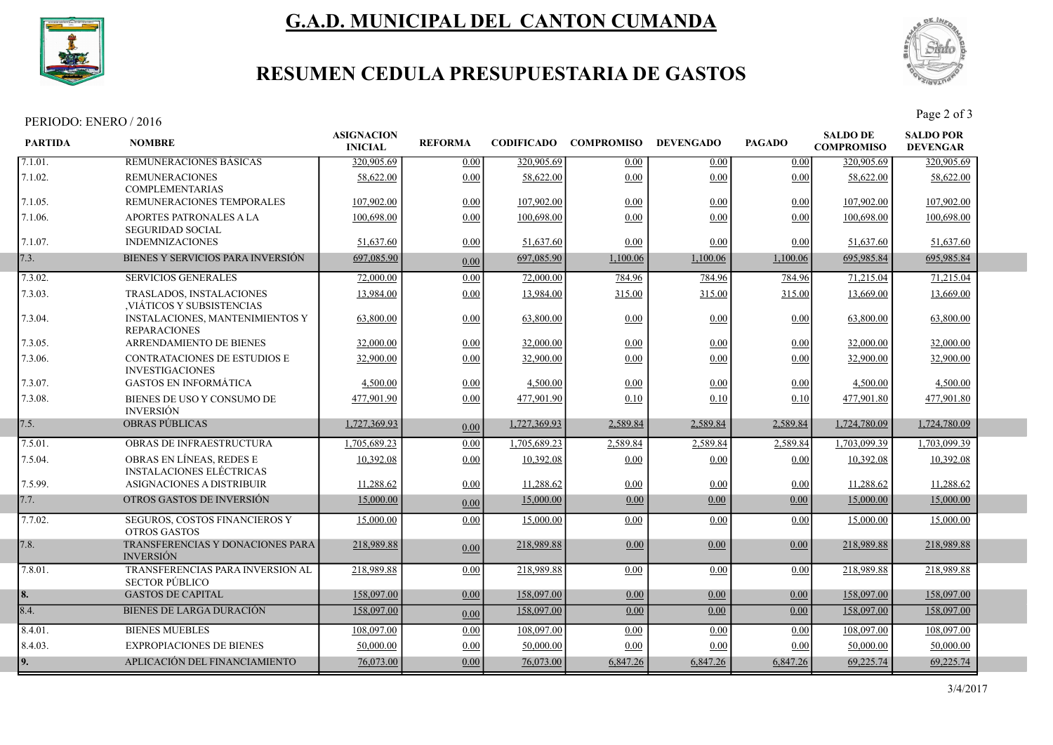

# G.A.D. MUNICIPAL DEL CANTON CUMANDA



## RESUMEN CEDULA PRESUPUESTARIA DE GASTOS

PERIODO: ENERO / 2016 Page 2 of 3

| <b>REMUNERACIONES BASICAS</b><br>320,905.69<br>320,905.69<br>320,905.69<br>320,905.69<br>0.00<br>0.00<br>0.00<br>0.00<br>58,622.00<br>0.00<br>58,622.00<br>0.00<br>0.00<br>58,622.00<br>58,622.00<br><b>REMUNERACIONES</b><br>0.00<br><b>COMPLEMENTARIAS</b><br>REMUNERACIONES TEMPORALES<br>0.00<br>107,902.00<br>0.00<br>107,902.00<br>107,902.00<br>107,902.00<br>0.00<br>0.00<br>100,698.00<br>APORTES PATRONALES A LA<br>100,698.00<br>0.00<br>100,698.00<br>0.00<br>0.00<br>0.00<br>100,698.00<br><b>SEGURIDAD SOCIAL</b><br><b>INDEMNIZACIONES</b><br>0.00<br>51,637.60<br>0.00<br>0.00<br>51,637.60<br>51,637.60<br>0.00<br>51,637.60<br>BIENES Y SERVICIOS PARA INVERSIÓN<br>697,085.90<br>697,085.90<br>1,100.06<br>1,100.06<br>1,100.06<br>695,985.84<br>695,985.84<br>0.00<br><b>SERVICIOS GENERALES</b><br>72,000.00<br>0.00<br>72,000.00<br>784.96<br>784.96<br>784.96<br>71,215.04<br>71,215.04<br>0.00<br>315.00<br>13,984.00<br>13,984.00<br>315.00<br>315.00<br>13,669.00<br>13,669.00<br>TRASLADOS, INSTALACIONES<br>VIÁTICOS Y SUBSISTENCIAS<br><b>INSTALACIONES, MANTENIMIENTOS Y</b><br>63,800.00<br>0.00<br>63,800.00<br>0.00<br>63,800.00<br>0.00<br>0.00<br>63,800.00<br><b>REPARACIONES</b><br><b>ARRENDAMIENTO DE BIENES</b><br>32,000.00<br>0.00<br>32,000.00<br>0.00<br>0.00<br>0.00<br>32,000.00<br>32,000.00<br><b>CONTRATACIONES DE ESTUDIOS E</b><br>32,900.00<br>0.00<br>32,900.00<br>0.00<br>0.00<br>0.00<br>32,900.00<br>32,900.00<br><b>INVESTIGACIONES</b><br><b>GASTOS EN INFORMÁTICA</b><br>0.00<br>4,500.00<br>0.00<br>4,500.00<br>0.00<br>0.00<br>4,500.00<br>4,500.00<br>BIENES DE USO Y CONSUMO DE<br>0.00<br>477,901.90<br>477,901.80<br>477,901.90<br>0.10<br>0.10<br>0.10<br>477,901.80<br><b>INVERSIÓN</b><br><b>OBRAS PÚBLICAS</b><br>1,727,369.93<br>1,727,369.93<br>2,589.84<br>2,589.84<br>2,589.84<br>1,724,780.09<br>1,724,780.09<br>0.00<br>OBRAS DE INFRAESTRUCTURA<br>1,705,689.23<br>0.00<br>1,705,689.23<br>2,589.84<br>2,589.84<br>1,703,099.39<br>1,703,099.39<br>2,589.84<br>OBRAS EN LÍNEAS, REDES E<br>0.00<br>10.392.08<br>10,392.08<br>0.00<br>10,392.08<br>10,392.08<br>0.00<br>0.00<br><b>INSTALACIONES ELÉCTRICAS</b><br>ASIGNACIONES A DISTRIBUIR<br>11,288.62<br>0.00<br>11,288.62<br>0.00<br>0.00<br>0.00<br>11,288.62<br>11,288.62<br>OTROS GASTOS DE INVERSIÓN<br>15,000.00<br>15,000.00<br>0.00<br>0.00<br>0.00<br>15,000.00<br>15,000.00<br>0.00<br>7.7.02.<br>SEGUROS, COSTOS FINANCIEROS Y<br>15,000.00<br>0.00<br>0.00<br>0.00<br>15,000.00<br>0.00<br>15,000.00<br>15,000.00<br><b>OTROS GASTOS</b><br>TRANSFERENCIAS Y DONACIONES PARA<br>218,989.88<br>218,989.88<br>0.00<br>0.00<br>0.00<br>218,989.88<br>218,989.88<br>0.00<br><b>INVERSIÓN</b><br>TRANSFERENCIAS PARA INVERSION AL<br>218,989.88<br>218,989.88<br>0.00<br>0.00<br>0.00<br>0.00<br>218,989.88<br>218,989.88<br><b>SECTOR PÚBLICO</b><br><b>GASTOS DE CAPITAL</b><br>158,097.00<br>0.00<br>158,097.00<br>0.00<br>0.00<br>158,097.00<br>158,097.00<br>0.00<br><b>BIENES DE LARGA DURACIÓN</b><br>158,097.00<br>158,097.00<br>0.00<br>0.00<br>0.00<br>158,097.00<br>158,097.00<br>0.00<br><b>BIENES MUEBLES</b><br>108,097.00<br>0.00<br>108,097.00<br>0.00<br>0.00<br>0.00<br>108,097.00<br>108,097.00<br><b>EXPROPIACIONES DE BIENES</b><br>50,000.00<br>0.00<br>50,000.00<br>0.00<br>0.00<br>50,000.00<br>50,000.00<br>0.00<br>APLICACIÓN DEL FINANCIAMIENTO<br>69,225.74<br>76,073.00<br>6,847.26<br>6,847.26<br>6,847.26<br>69,225.74<br>76,073.00<br>0.00 | <b>PARTIDA</b> | <b>NOMBRE</b> | <b>ASIGNACION</b><br><b>INICIAL</b> | <b>REFORMA</b> | <b>CODIFICADO COMPROMISO</b> | <b>DEVENGADO</b> | <b>PAGADO</b> | <b>SALDO DE</b><br><b>COMPROMISO</b> | <b>SALDO POR</b><br><b>DEVENGAR</b> |  |
|------------------------------------------------------------------------------------------------------------------------------------------------------------------------------------------------------------------------------------------------------------------------------------------------------------------------------------------------------------------------------------------------------------------------------------------------------------------------------------------------------------------------------------------------------------------------------------------------------------------------------------------------------------------------------------------------------------------------------------------------------------------------------------------------------------------------------------------------------------------------------------------------------------------------------------------------------------------------------------------------------------------------------------------------------------------------------------------------------------------------------------------------------------------------------------------------------------------------------------------------------------------------------------------------------------------------------------------------------------------------------------------------------------------------------------------------------------------------------------------------------------------------------------------------------------------------------------------------------------------------------------------------------------------------------------------------------------------------------------------------------------------------------------------------------------------------------------------------------------------------------------------------------------------------------------------------------------------------------------------------------------------------------------------------------------------------------------------------------------------------------------------------------------------------------------------------------------------------------------------------------------------------------------------------------------------------------------------------------------------------------------------------------------------------------------------------------------------------------------------------------------------------------------------------------------------------------------------------------------------------------------------------------------------------------------------------------------------------------------------------------------------------------------------------------------------------------------------------------------------------------------------------------------------------------------------------------------------------------------------------------------------------------------------------------------------------------------------------------------------------------------------------------------------------------------------------------------------------------------------------------------------------------------------------------------------------------------------------------------------------------------------------------------------------------------------------------------------------------------------------------------------|----------------|---------------|-------------------------------------|----------------|------------------------------|------------------|---------------|--------------------------------------|-------------------------------------|--|
|                                                                                                                                                                                                                                                                                                                                                                                                                                                                                                                                                                                                                                                                                                                                                                                                                                                                                                                                                                                                                                                                                                                                                                                                                                                                                                                                                                                                                                                                                                                                                                                                                                                                                                                                                                                                                                                                                                                                                                                                                                                                                                                                                                                                                                                                                                                                                                                                                                                                                                                                                                                                                                                                                                                                                                                                                                                                                                                                                                                                                                                                                                                                                                                                                                                                                                                                                                                                                                                                                                                  | 7.1.01.        |               |                                     |                |                              |                  |               |                                      |                                     |  |
|                                                                                                                                                                                                                                                                                                                                                                                                                                                                                                                                                                                                                                                                                                                                                                                                                                                                                                                                                                                                                                                                                                                                                                                                                                                                                                                                                                                                                                                                                                                                                                                                                                                                                                                                                                                                                                                                                                                                                                                                                                                                                                                                                                                                                                                                                                                                                                                                                                                                                                                                                                                                                                                                                                                                                                                                                                                                                                                                                                                                                                                                                                                                                                                                                                                                                                                                                                                                                                                                                                                  | 7.1.02.        |               |                                     |                |                              |                  |               |                                      |                                     |  |
|                                                                                                                                                                                                                                                                                                                                                                                                                                                                                                                                                                                                                                                                                                                                                                                                                                                                                                                                                                                                                                                                                                                                                                                                                                                                                                                                                                                                                                                                                                                                                                                                                                                                                                                                                                                                                                                                                                                                                                                                                                                                                                                                                                                                                                                                                                                                                                                                                                                                                                                                                                                                                                                                                                                                                                                                                                                                                                                                                                                                                                                                                                                                                                                                                                                                                                                                                                                                                                                                                                                  | 7.1.05.        |               |                                     |                |                              |                  |               |                                      |                                     |  |
|                                                                                                                                                                                                                                                                                                                                                                                                                                                                                                                                                                                                                                                                                                                                                                                                                                                                                                                                                                                                                                                                                                                                                                                                                                                                                                                                                                                                                                                                                                                                                                                                                                                                                                                                                                                                                                                                                                                                                                                                                                                                                                                                                                                                                                                                                                                                                                                                                                                                                                                                                                                                                                                                                                                                                                                                                                                                                                                                                                                                                                                                                                                                                                                                                                                                                                                                                                                                                                                                                                                  | 7.1.06.        |               |                                     |                |                              |                  |               |                                      |                                     |  |
|                                                                                                                                                                                                                                                                                                                                                                                                                                                                                                                                                                                                                                                                                                                                                                                                                                                                                                                                                                                                                                                                                                                                                                                                                                                                                                                                                                                                                                                                                                                                                                                                                                                                                                                                                                                                                                                                                                                                                                                                                                                                                                                                                                                                                                                                                                                                                                                                                                                                                                                                                                                                                                                                                                                                                                                                                                                                                                                                                                                                                                                                                                                                                                                                                                                                                                                                                                                                                                                                                                                  | 7.1.07.        |               |                                     |                |                              |                  |               |                                      |                                     |  |
|                                                                                                                                                                                                                                                                                                                                                                                                                                                                                                                                                                                                                                                                                                                                                                                                                                                                                                                                                                                                                                                                                                                                                                                                                                                                                                                                                                                                                                                                                                                                                                                                                                                                                                                                                                                                                                                                                                                                                                                                                                                                                                                                                                                                                                                                                                                                                                                                                                                                                                                                                                                                                                                                                                                                                                                                                                                                                                                                                                                                                                                                                                                                                                                                                                                                                                                                                                                                                                                                                                                  | 7.3.           |               |                                     |                |                              |                  |               |                                      |                                     |  |
|                                                                                                                                                                                                                                                                                                                                                                                                                                                                                                                                                                                                                                                                                                                                                                                                                                                                                                                                                                                                                                                                                                                                                                                                                                                                                                                                                                                                                                                                                                                                                                                                                                                                                                                                                                                                                                                                                                                                                                                                                                                                                                                                                                                                                                                                                                                                                                                                                                                                                                                                                                                                                                                                                                                                                                                                                                                                                                                                                                                                                                                                                                                                                                                                                                                                                                                                                                                                                                                                                                                  | 7.3.02.        |               |                                     |                |                              |                  |               |                                      |                                     |  |
|                                                                                                                                                                                                                                                                                                                                                                                                                                                                                                                                                                                                                                                                                                                                                                                                                                                                                                                                                                                                                                                                                                                                                                                                                                                                                                                                                                                                                                                                                                                                                                                                                                                                                                                                                                                                                                                                                                                                                                                                                                                                                                                                                                                                                                                                                                                                                                                                                                                                                                                                                                                                                                                                                                                                                                                                                                                                                                                                                                                                                                                                                                                                                                                                                                                                                                                                                                                                                                                                                                                  | 7.3.03.        |               |                                     |                |                              |                  |               |                                      |                                     |  |
|                                                                                                                                                                                                                                                                                                                                                                                                                                                                                                                                                                                                                                                                                                                                                                                                                                                                                                                                                                                                                                                                                                                                                                                                                                                                                                                                                                                                                                                                                                                                                                                                                                                                                                                                                                                                                                                                                                                                                                                                                                                                                                                                                                                                                                                                                                                                                                                                                                                                                                                                                                                                                                                                                                                                                                                                                                                                                                                                                                                                                                                                                                                                                                                                                                                                                                                                                                                                                                                                                                                  | 7.3.04.        |               |                                     |                |                              |                  |               |                                      |                                     |  |
|                                                                                                                                                                                                                                                                                                                                                                                                                                                                                                                                                                                                                                                                                                                                                                                                                                                                                                                                                                                                                                                                                                                                                                                                                                                                                                                                                                                                                                                                                                                                                                                                                                                                                                                                                                                                                                                                                                                                                                                                                                                                                                                                                                                                                                                                                                                                                                                                                                                                                                                                                                                                                                                                                                                                                                                                                                                                                                                                                                                                                                                                                                                                                                                                                                                                                                                                                                                                                                                                                                                  | 7.3.05.        |               |                                     |                |                              |                  |               |                                      |                                     |  |
|                                                                                                                                                                                                                                                                                                                                                                                                                                                                                                                                                                                                                                                                                                                                                                                                                                                                                                                                                                                                                                                                                                                                                                                                                                                                                                                                                                                                                                                                                                                                                                                                                                                                                                                                                                                                                                                                                                                                                                                                                                                                                                                                                                                                                                                                                                                                                                                                                                                                                                                                                                                                                                                                                                                                                                                                                                                                                                                                                                                                                                                                                                                                                                                                                                                                                                                                                                                                                                                                                                                  | 7.3.06.        |               |                                     |                |                              |                  |               |                                      |                                     |  |
|                                                                                                                                                                                                                                                                                                                                                                                                                                                                                                                                                                                                                                                                                                                                                                                                                                                                                                                                                                                                                                                                                                                                                                                                                                                                                                                                                                                                                                                                                                                                                                                                                                                                                                                                                                                                                                                                                                                                                                                                                                                                                                                                                                                                                                                                                                                                                                                                                                                                                                                                                                                                                                                                                                                                                                                                                                                                                                                                                                                                                                                                                                                                                                                                                                                                                                                                                                                                                                                                                                                  | 7.3.07.        |               |                                     |                |                              |                  |               |                                      |                                     |  |
|                                                                                                                                                                                                                                                                                                                                                                                                                                                                                                                                                                                                                                                                                                                                                                                                                                                                                                                                                                                                                                                                                                                                                                                                                                                                                                                                                                                                                                                                                                                                                                                                                                                                                                                                                                                                                                                                                                                                                                                                                                                                                                                                                                                                                                                                                                                                                                                                                                                                                                                                                                                                                                                                                                                                                                                                                                                                                                                                                                                                                                                                                                                                                                                                                                                                                                                                                                                                                                                                                                                  | 7.3.08.        |               |                                     |                |                              |                  |               |                                      |                                     |  |
|                                                                                                                                                                                                                                                                                                                                                                                                                                                                                                                                                                                                                                                                                                                                                                                                                                                                                                                                                                                                                                                                                                                                                                                                                                                                                                                                                                                                                                                                                                                                                                                                                                                                                                                                                                                                                                                                                                                                                                                                                                                                                                                                                                                                                                                                                                                                                                                                                                                                                                                                                                                                                                                                                                                                                                                                                                                                                                                                                                                                                                                                                                                                                                                                                                                                                                                                                                                                                                                                                                                  | 7.5.           |               |                                     |                |                              |                  |               |                                      |                                     |  |
|                                                                                                                                                                                                                                                                                                                                                                                                                                                                                                                                                                                                                                                                                                                                                                                                                                                                                                                                                                                                                                                                                                                                                                                                                                                                                                                                                                                                                                                                                                                                                                                                                                                                                                                                                                                                                                                                                                                                                                                                                                                                                                                                                                                                                                                                                                                                                                                                                                                                                                                                                                                                                                                                                                                                                                                                                                                                                                                                                                                                                                                                                                                                                                                                                                                                                                                                                                                                                                                                                                                  | 7.5.01.        |               |                                     |                |                              |                  |               |                                      |                                     |  |
|                                                                                                                                                                                                                                                                                                                                                                                                                                                                                                                                                                                                                                                                                                                                                                                                                                                                                                                                                                                                                                                                                                                                                                                                                                                                                                                                                                                                                                                                                                                                                                                                                                                                                                                                                                                                                                                                                                                                                                                                                                                                                                                                                                                                                                                                                                                                                                                                                                                                                                                                                                                                                                                                                                                                                                                                                                                                                                                                                                                                                                                                                                                                                                                                                                                                                                                                                                                                                                                                                                                  | 7.5.04.        |               |                                     |                |                              |                  |               |                                      |                                     |  |
|                                                                                                                                                                                                                                                                                                                                                                                                                                                                                                                                                                                                                                                                                                                                                                                                                                                                                                                                                                                                                                                                                                                                                                                                                                                                                                                                                                                                                                                                                                                                                                                                                                                                                                                                                                                                                                                                                                                                                                                                                                                                                                                                                                                                                                                                                                                                                                                                                                                                                                                                                                                                                                                                                                                                                                                                                                                                                                                                                                                                                                                                                                                                                                                                                                                                                                                                                                                                                                                                                                                  | 7.5.99.        |               |                                     |                |                              |                  |               |                                      |                                     |  |
|                                                                                                                                                                                                                                                                                                                                                                                                                                                                                                                                                                                                                                                                                                                                                                                                                                                                                                                                                                                                                                                                                                                                                                                                                                                                                                                                                                                                                                                                                                                                                                                                                                                                                                                                                                                                                                                                                                                                                                                                                                                                                                                                                                                                                                                                                                                                                                                                                                                                                                                                                                                                                                                                                                                                                                                                                                                                                                                                                                                                                                                                                                                                                                                                                                                                                                                                                                                                                                                                                                                  | 7.7.           |               |                                     |                |                              |                  |               |                                      |                                     |  |
|                                                                                                                                                                                                                                                                                                                                                                                                                                                                                                                                                                                                                                                                                                                                                                                                                                                                                                                                                                                                                                                                                                                                                                                                                                                                                                                                                                                                                                                                                                                                                                                                                                                                                                                                                                                                                                                                                                                                                                                                                                                                                                                                                                                                                                                                                                                                                                                                                                                                                                                                                                                                                                                                                                                                                                                                                                                                                                                                                                                                                                                                                                                                                                                                                                                                                                                                                                                                                                                                                                                  |                |               |                                     |                |                              |                  |               |                                      |                                     |  |
|                                                                                                                                                                                                                                                                                                                                                                                                                                                                                                                                                                                                                                                                                                                                                                                                                                                                                                                                                                                                                                                                                                                                                                                                                                                                                                                                                                                                                                                                                                                                                                                                                                                                                                                                                                                                                                                                                                                                                                                                                                                                                                                                                                                                                                                                                                                                                                                                                                                                                                                                                                                                                                                                                                                                                                                                                                                                                                                                                                                                                                                                                                                                                                                                                                                                                                                                                                                                                                                                                                                  | 7.8.           |               |                                     |                |                              |                  |               |                                      |                                     |  |
|                                                                                                                                                                                                                                                                                                                                                                                                                                                                                                                                                                                                                                                                                                                                                                                                                                                                                                                                                                                                                                                                                                                                                                                                                                                                                                                                                                                                                                                                                                                                                                                                                                                                                                                                                                                                                                                                                                                                                                                                                                                                                                                                                                                                                                                                                                                                                                                                                                                                                                                                                                                                                                                                                                                                                                                                                                                                                                                                                                                                                                                                                                                                                                                                                                                                                                                                                                                                                                                                                                                  | 7.8.01.        |               |                                     |                |                              |                  |               |                                      |                                     |  |
|                                                                                                                                                                                                                                                                                                                                                                                                                                                                                                                                                                                                                                                                                                                                                                                                                                                                                                                                                                                                                                                                                                                                                                                                                                                                                                                                                                                                                                                                                                                                                                                                                                                                                                                                                                                                                                                                                                                                                                                                                                                                                                                                                                                                                                                                                                                                                                                                                                                                                                                                                                                                                                                                                                                                                                                                                                                                                                                                                                                                                                                                                                                                                                                                                                                                                                                                                                                                                                                                                                                  | 8.             |               |                                     |                |                              |                  |               |                                      |                                     |  |
|                                                                                                                                                                                                                                                                                                                                                                                                                                                                                                                                                                                                                                                                                                                                                                                                                                                                                                                                                                                                                                                                                                                                                                                                                                                                                                                                                                                                                                                                                                                                                                                                                                                                                                                                                                                                                                                                                                                                                                                                                                                                                                                                                                                                                                                                                                                                                                                                                                                                                                                                                                                                                                                                                                                                                                                                                                                                                                                                                                                                                                                                                                                                                                                                                                                                                                                                                                                                                                                                                                                  | 8.4.           |               |                                     |                |                              |                  |               |                                      |                                     |  |
|                                                                                                                                                                                                                                                                                                                                                                                                                                                                                                                                                                                                                                                                                                                                                                                                                                                                                                                                                                                                                                                                                                                                                                                                                                                                                                                                                                                                                                                                                                                                                                                                                                                                                                                                                                                                                                                                                                                                                                                                                                                                                                                                                                                                                                                                                                                                                                                                                                                                                                                                                                                                                                                                                                                                                                                                                                                                                                                                                                                                                                                                                                                                                                                                                                                                                                                                                                                                                                                                                                                  | 8.4.01.        |               |                                     |                |                              |                  |               |                                      |                                     |  |
|                                                                                                                                                                                                                                                                                                                                                                                                                                                                                                                                                                                                                                                                                                                                                                                                                                                                                                                                                                                                                                                                                                                                                                                                                                                                                                                                                                                                                                                                                                                                                                                                                                                                                                                                                                                                                                                                                                                                                                                                                                                                                                                                                                                                                                                                                                                                                                                                                                                                                                                                                                                                                                                                                                                                                                                                                                                                                                                                                                                                                                                                                                                                                                                                                                                                                                                                                                                                                                                                                                                  | 8.4.03.        |               |                                     |                |                              |                  |               |                                      |                                     |  |
|                                                                                                                                                                                                                                                                                                                                                                                                                                                                                                                                                                                                                                                                                                                                                                                                                                                                                                                                                                                                                                                                                                                                                                                                                                                                                                                                                                                                                                                                                                                                                                                                                                                                                                                                                                                                                                                                                                                                                                                                                                                                                                                                                                                                                                                                                                                                                                                                                                                                                                                                                                                                                                                                                                                                                                                                                                                                                                                                                                                                                                                                                                                                                                                                                                                                                                                                                                                                                                                                                                                  | 9.             |               |                                     |                |                              |                  |               |                                      |                                     |  |